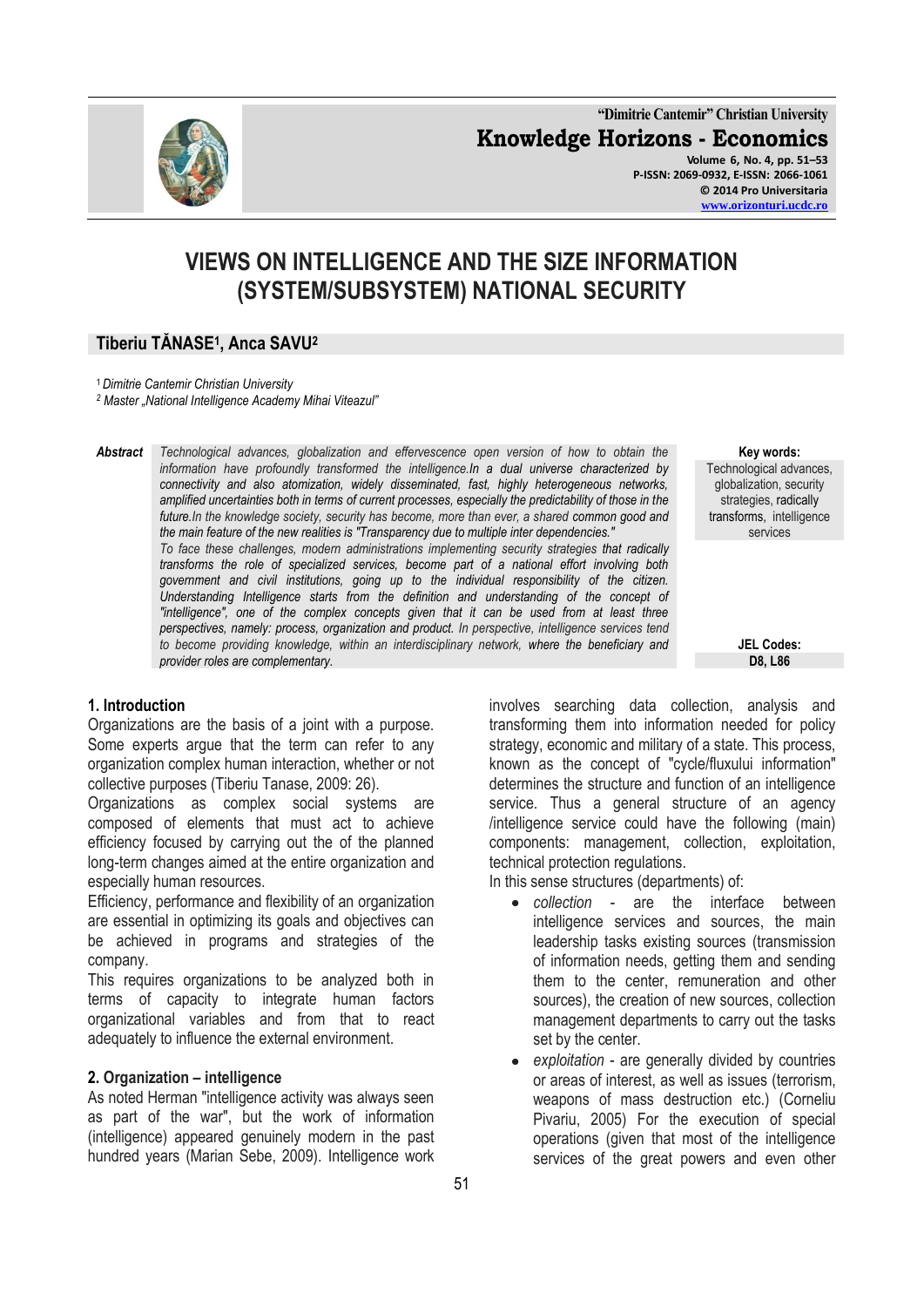**"Dimitrie Cantemir" Christian University Knowledge Horizons - Economics Volume 6, No. 4, pp. 51–53 P-ISSN: 2069-0932, E-ISSN: 2066-1061 © 2014 Pro Universitaria [www.orizonturi.ucdc.ro](http://www.orizonturi.ucdc.ro/)**

# **VIEWS ON INTELLIGENCE AND THE SIZE INFORMATION (SYSTEM/SUBSYSTEM) NATIONAL SECURITY**

# **Tiberiu TĂNASE<sup>1</sup> , Anca SAVU<sup>2</sup>**

<sup>1</sup>*Dimitrie Cantemir Christian University*

*<sup>2</sup> Master "National Intelligence Academy Mihai Viteazul"*

*Abstract Technological advances, globalization and effervescence open version of how to obtain the information have profoundly transformed the intelligence.In a dual universe characterized by connectivity and also atomization, widely disseminated, fast, highly heterogeneous networks, amplified uncertainties both in terms of current processes, especially the predictability of those in the future.In the knowledge society, security has become, more than ever, a shared common good and the main feature of the new realities is "Transparency due to multiple inter dependencies." To face these challenges, modern administrations implementing security strategies that radically transforms the role of specialized services, become part of a national effort involving both government and civil institutions, going up to the individual responsibility of the citizen. Understanding Intelligence starts from the definition and understanding of the concept of "intelligence", one of the complex concepts given that it can be used from at least three perspectives, namely: process, organization and product. In perspective, intelligence services tend to become providing knowledge, within an interdisciplinary network, where the beneficiary and provider roles are complementary.*

**Key words:** Technological advances, globalization, security strategies, radically transforms, intelligence services

> **JEL Codes: D8, L86**

## **1. Introduction**

Organizations are the basis of a joint with a purpose. Some experts argue that the term can refer to any organization complex human interaction, whether or not collective purposes (Tiberiu Tanase, 2009: 26).

Organizations as complex social systems are composed of elements that must act to achieve efficiency focused by carrying out the of the planned long-term changes aimed at the entire organization and especially human resources.

Efficiency, performance and flexibility of an organization are essential in optimizing its goals and objectives can be achieved in programs and strategies of the company.

This requires organizations to be analyzed both in terms of capacity to integrate human factors organizational variables and from that to react adequately to influence the external environment.

#### **2. Organization – intelligence**

As noted Herman "intelligence activity was always seen as part of the war", but the work of information (intelligence) appeared genuinely modern in the past hundred years (Marian Sebe, 2009). Intelligence work

involves searching data collection, analysis and transforming them into information needed for policy strategy, economic and military of a state. This process, known as the concept of "cycle/fluxului information" determines the structure and function of an intelligence service. Thus a general structure of an agency /intelligence service could have the following (main) components: management, collection, exploitation, technical protection regulations.

In this sense structures (departments) of:

- *collection* are the interface between intelligence services and sources, the main leadership tasks existing sources (transmission of information needs, getting them and sending them to the center, remuneration and other sources), the creation of new sources, collection management departments to carry out the tasks set by the center.
- *exploitation* are generally divided by countries or areas of interest, as well as issues (terrorism, weapons of mass destruction etc.) (Corneliu Pivariu, 2005) For the execution of special operations (given that most of the intelligence services of the great powers and even other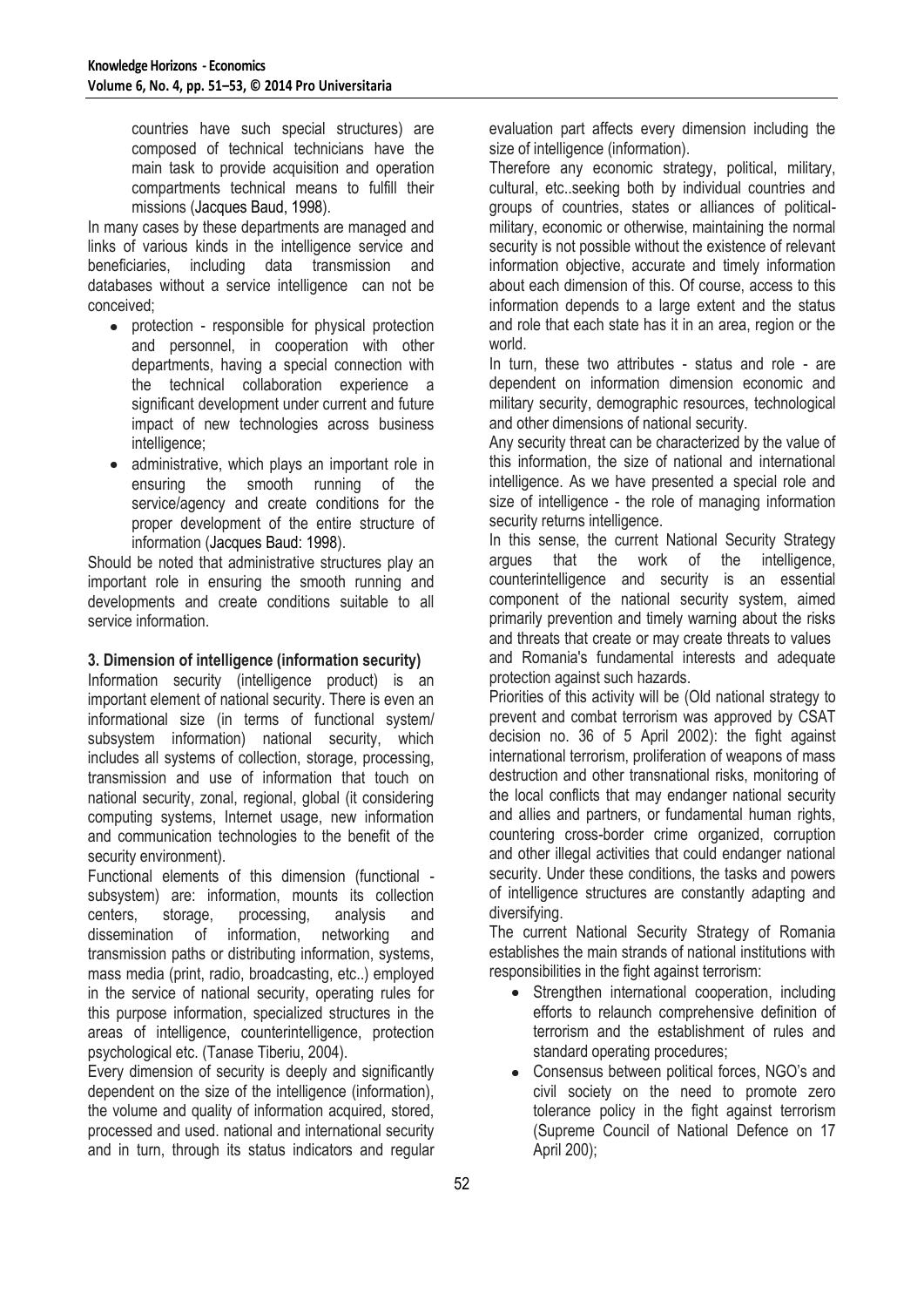countries have such special structures) are composed of technical technicians have the main task to provide acquisition and operation compartments technical means to fulfill their missions (Jacques Baud, 1998).

In many cases by these departments are managed and links of various kinds in the intelligence service and beneficiaries, including data transmission and databases without a service intelligence can not be conceived;

- protection responsible for physical protection and personnel, in cooperation with other departments, having a special connection with the technical collaboration experience a significant development under current and future impact of new technologies across business intelligence;
- administrative, which plays an important role in  $\bullet$ ensuring the smooth running of the service/agency and create conditions for the proper development of the entire structure of information (Jacques Baud: 1998).

Should be noted that administrative structures play an important role in ensuring the smooth running and developments and create conditions suitable to all service information.

# **3. Dimension of intelligence (information security)**

Information security (intelligence product) is an important element of national security. There is even an informational size (in terms of functional system/ subsystem information) national security, which includes all systems of collection, storage, processing, transmission and use of information that touch on national security, zonal, regional, global (it considering computing systems, Internet usage, new information and communication technologies to the benefit of the security environment).

Functional elements of this dimension (functional subsystem) are: information, mounts its collection centers, storage, processing, analysis and dissemination of information, networking and transmission paths or distributing information, systems, mass media (print, radio, broadcasting, etc..) employed in the service of national security, operating rules for this purpose information, specialized structures in the areas of intelligence, counterintelligence, protection psychological etc. (Tanase Tiberiu, 2004).

Every dimension of security is deeply and significantly dependent on the size of the intelligence (information), the volume and quality of information acquired, stored, processed and used. national and international security and in turn, through its status indicators and regular evaluation part affects every dimension including the size of intelligence (information).

Therefore any economic strategy, political, military, cultural, etc..seeking both by individual countries and groups of countries, states or alliances of politicalmilitary, economic or otherwise, maintaining the normal security is not possible without the existence of relevant information objective, accurate and timely information about each dimension of this. Of course, access to this information depends to a large extent and the status and role that each state has it in an area, region or the world.

In turn, these two attributes - status and role - are dependent on information dimension economic and military security, demographic resources, technological and other dimensions of national security.

Any security threat can be characterized by the value of this information, the size of national and international intelligence. As we have presented a special role and size of intelligence - the role of managing information security returns intelligence.

In this sense, the current National Security Strategy argues that the work of the intelligence, counterintelligence and security is an essential component of the national security system, aimed primarily prevention and timely warning about the risks and threats that create or may create threats to values and Romania's fundamental interests and adequate protection against such hazards.

Priorities of this activity will be (Old national strategy to prevent and combat terrorism was approved by CSAT decision no. 36 of 5 April 2002): the fight against international terrorism, proliferation of weapons of mass destruction and other transnational risks, monitoring of the local conflicts that may endanger national security and allies and partners, or fundamental human rights, countering cross-border crime organized, corruption and other illegal activities that could endanger national security. Under these conditions, the tasks and powers of intelligence structures are constantly adapting and diversifying.

The current National Security Strategy of Romania establishes the main strands of national institutions with responsibilities in the fight against terrorism:

- Strengthen international cooperation, including efforts to relaunch comprehensive definition of terrorism and the establishment of rules and standard operating procedures;
- Consensus between political forces, NGO's and civil society on the need to promote zero tolerance policy in the fight against terrorism (Supreme Council of National Defence on 17 April 200);